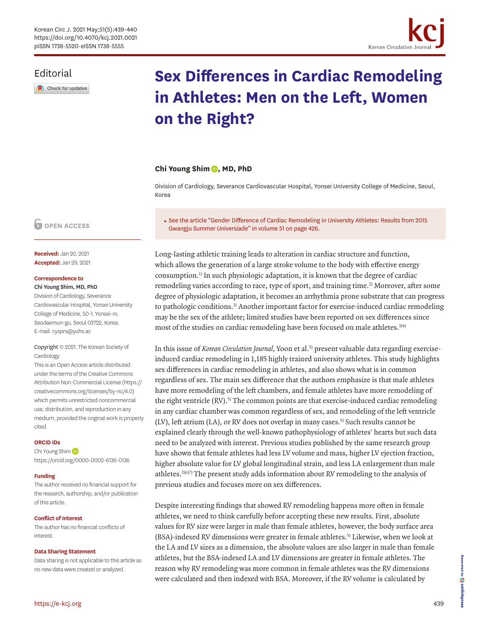## Editorial

Check for updates

# **Sex Differences in Cardiac Remodeling in Athletes: Men on the Left, Women on the Right?**

<span id="page-0-0"></span>Korean Circulation

### **Chi Young Shim <b>D**, MD, PhD

Division of Cardiology, Severance Cardiovascular Hospital, Yonsei University College of Medicine, Seoul, Korea

► [See the article "Gender Difference of Cardiac Remodeling in University Athletes: Results from 2015](https://doi.org/10.4070/kcj.2020.0484)  [Gwangju Summer Universiade" in volume 51 on page 426.](https://doi.org/10.4070/kcj.2020.0484)

Long-lasting athletic training leads to alteration in cardiac structure and function, which allows the generation of a large stroke volume to the body with effective energy consumption.[1\)](#page-1-0) In such physiologic adaptation, it is known that the degree of cardiac remodeling varies according to race, type of sport, and training time[.2\)](#page-1-1) Moreover, after some degree of physiologic adaptation, it becomes an arrhythmia prone substrate that can progress to pathologic conditions.[1\)](#page-1-0) Another important factor for exercise-induced cardiac remodeling may be the sex of the athlete; limited studies have been reported on sex differences since most of the studies on cardiac remodeling have been focused on male athletes.<sup>3)[4\)](#page-1-3)</sup>

In this issue of *Korean Circulation Journal*, Yoon et al.[5\)](#page-1-4) present valuable data regarding exerciseinduced cardiac remodeling in 1,185 highly trained university athletes. This study highlights sex differences in cardiac remodeling in athletes, and also shows what is in common regardless of sex. The main sex difference that the authors emphasize is that male athletes have more remodeling of the left chambers, and female athletes have more remodeling of the right ventricle  $(RV)$ .<sup>5)</sup> The common points are that exercise-induced cardiac remodeling in any cardiac chamber was common regardless of sex, and remodeling of the left ventricle (LV), left atrium (LA), or RV does not overlap in many cases.<sup>5)</sup> Such results cannot be explained clearly through the well-known pathophysiology of athletes' hearts but such data need to be analyzed with interest. Previous studies published by the same research group have shown that female athletes had less LV volume and mass, higher LV ejection fraction, higher absolute value for LV global longitudinal strain, and less LA enlargement than male athletes.<sup>2)[6\)](#page-1-5)7)</sup> The present study adds information about RV remodeling to the analysis of previous studies and focuses more on sex differences.

<span id="page-0-2"></span><span id="page-0-1"></span>Despite interesting findings that showed RV remodeling happens more often in female athletes, we need to think carefully before accepting these new results. First, absolute values for RV size were larger in male than female athletes, however, the body surface area (BSA)-indexed RV dimensions were greater in female athletes.[5\)](#page-1-4) Likewise, when we look at the LA and LV sizes as a dimension, the absolute values are also larger in male than female athletes, but the BSA-indexed LA and LV dimensions are greater in female athletes. The reason why RV remodeling was more common in female athletes was the RV dimensions were calculated and then indexed with BSA. Moreover, if the RV volume is calculated by

## **D** OPEN ACCESS

**Received:** Jan 20, 2021 **Accepted:** Jan 29, 2021

#### **Correspondence to** Chi Young Shim, MD, PhD

Division of Cardiology, Severance Cardiovascular Hospital, Yonsei University College of Medicine, 50-1, Yonsei-ro, Seodaemun-gu, Seoul 03722, Korea. E-mail: cysprs@yuhs.ac

#### Copyright © 2021. The Korean Society of Cardiology

This is an Open Access article distributed under the terms of the Creative Commons Attribution Non-Commercial License [\(https://](https://creativecommons.org/licenses/by-nc/4.0) [creativecommons.org/licenses/by-nc/4.0](https://creativecommons.org/licenses/by-nc/4.0)) which permits unrestricted noncommercial use, distribution, and reproduction in any medium, provided the original work is properly cited.

#### **ORCID iDs**

ChiYoung Shim <https://orcid.org/0000-0002-6136-0136>

#### **Funding**

The author received no financial support for the research, authorship, and/or publication of this article.

#### **Conflict of Interest**

The author has no financial conflicts of interest.

#### **Data Sharing Statement**

Data sharing is not applicable to this article as no new data were created or analyzed.